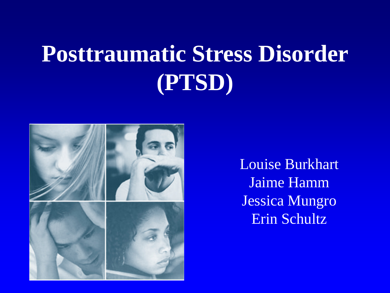# **Posttraumatic Stress Disorder (PTSD)**



Louise Burkhart Jaime Hamm Jessica Mungro Erin Schultz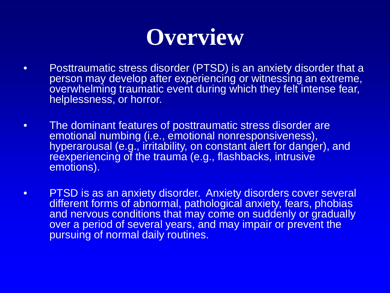

- Posttraumatic stress disorder (PTSD) is an anxiety disorder that a person may develop after experiencing or witnessing an extreme, overwhelming traumatic event during which they felt intense fear, helplessness, or horror.
- The dominant features of posttraumatic stress disorder are emotional numbing (i.e., emotional nonresponsiveness), hyperarousal (e.g., irritability, on constant alert for danger), and reexperiencing of the trauma (e.g., flashbacks, intrusive emotions).
- PTSD is as an anxiety disorder. Anxiety disorders cover several different forms of abnormal, pathological anxiety, fears, phobias and nervous conditions that may come on suddenly or gradually over a period of several years, and may impair or prevent the pursuing of normal daily routines.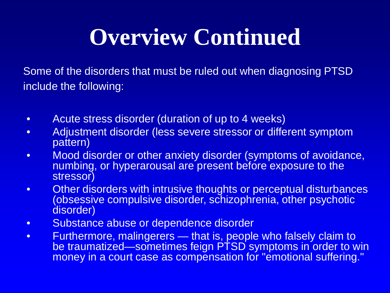# **Overview Continued**

Some of the disorders that must be ruled out when diagnosing PTSD include the following:

- Acute stress disorder (duration of up to 4 weeks)
- Adjustment disorder (less severe stressor or different symptom pattern)
- Mood disorder or other anxiety disorder (symptoms of avoidance, numbing, or hyperarousal are present before exposure to the stressor)
- Other disorders with intrusive thoughts or perceptual disturbances (obsessive compulsive disorder, schizophrenia, other psychotic disorder)
- Substance abuse or dependence disorder
- Furthermore, malingerers that is, people who falsely claim to be traumatized—sometimes feign PTSD symptoms in order to win money in a court case as compensation for "emotional suffering."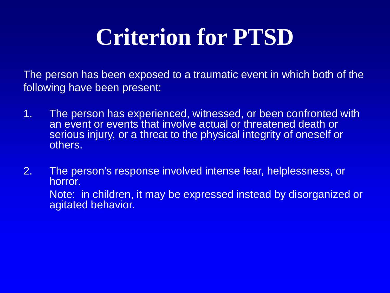# **Criterion for PTSD**

The person has been exposed to a traumatic event in which both of the following have been present:

- 1. The person has experienced, witnessed, or been confronted with an event or events that involve actual or threatened death or serious injury, or a threat to the physical integrity of oneself or others.
- 2. The person's response involved intense fear, helplessness, or horror. Note: in children, it may be expressed instead by disorganized or agitated behavior.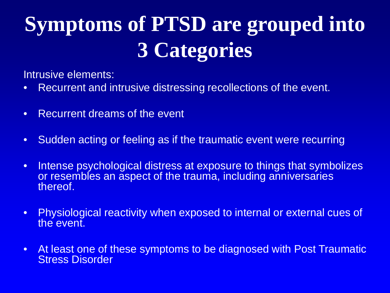## **Symptoms of PTSD are grouped into 3 Categories**

Intrusive elements:

- Recurrent and intrusive distressing recollections of the event.
- Recurrent dreams of the event
- Sudden acting or feeling as if the traumatic event were recurring
- Intense psychological distress at exposure to things that symbolizes or resembles an aspect of the trauma, including anniversaries thereof.
- Physiological reactivity when exposed to internal or external cues of the event.
- At least one of these symptoms to be diagnosed with Post Traumatic Stress Disorder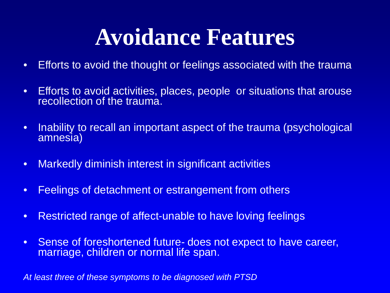#### **Avoidance Features**

- Efforts to avoid the thought or feelings associated with the trauma
- Efforts to avoid activities, places, people or situations that arouse recollection of the trauma.
- Inability to recall an important aspect of the trauma (psychological amnesia)
- Markedly diminish interest in significant activities
- Feelings of detachment or estrangement from others
- Restricted range of affect-unable to have loving feelings
- Sense of foreshortened future- does not expect to have career, marriage, children or normal life span.

*At least three of these symptoms to be diagnosed with PTSD*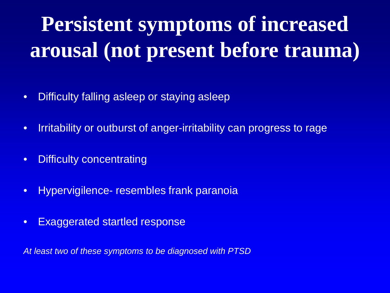# **Persistent symptoms of increased arousal (not present before trauma)**

- Difficulty falling asleep or staying asleep
- Irritability or outburst of anger-irritability can progress to rage
- Difficulty concentrating
- Hypervigilence- resembles frank paranoia
- Exaggerated startled response

*At least two of these symptoms to be diagnosed with PTSD*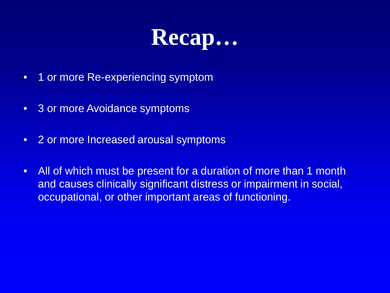

- 1 or more Re-experiencing symptom
- 3 or more Avoidance symptoms
- 2 or more Increased arousal symptoms
- All of which must be present for a duration of more than 1 month and causes clinically significant distress or impairment in social, occupational, or other important areas of functioning.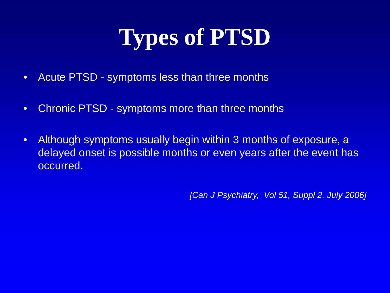# **Types of PTSD**

- Acute PTSD symptoms less than three months
- Chronic PTSD symptoms more than three months
- Although symptoms usually begin within 3 months of exposure, a delayed onset is possible months or even years after the event has occurred.

*[Can J Psychiatry, Vol 51, Suppl 2, July 2006]*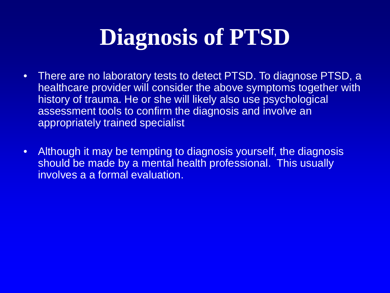# **Diagnosis of PTSD**

- There are no laboratory tests to detect PTSD. To diagnose PTSD, a healthcare provider will consider the above symptoms together with history of trauma. He or she will likely also use psychological assessment tools to confirm the diagnosis and involve an appropriately trained specialist
- Although it may be tempting to diagnosis yourself, the diagnosis should be made by a mental health professional. This usually involves a a formal evaluation.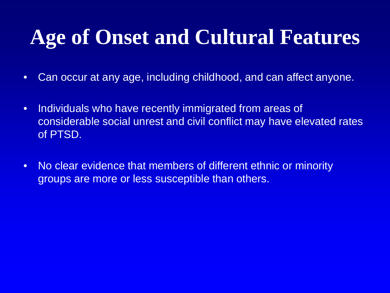#### **Age of Onset and Cultural Features**

- Can occur at any age, including childhood, and can affect anyone.
- Individuals who have recently immigrated from areas of considerable social unrest and civil conflict may have elevated rates of PTSD.
- No clear evidence that members of different ethnic or minority groups are more or less susceptible than others.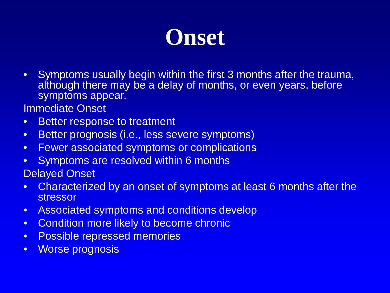

• Symptoms usually begin within the first 3 months after the trauma, although there may be a delay of months, or even years, before symptoms appear.

Immediate Onset

- Better response to treatment
- Better prognosis (i.e., less severe symptoms)
- Fewer associated symptoms or complications
- Symptoms are resolved within 6 months

Delayed Onset

- Characterized by an onset of symptoms at least 6 months after the stressor
- Associated symptoms and conditions develop
- Condition more likely to become chronic
- Possible repressed memories
- Worse prognosis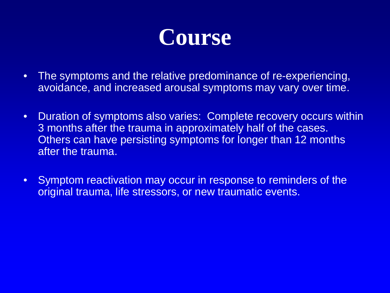

- The symptoms and the relative predominance of re-experiencing, avoidance, and increased arousal symptoms may vary over time.
- Duration of symptoms also varies: Complete recovery occurs within 3 months after the trauma in approximately half of the cases. Others can have persisting symptoms for longer than 12 months after the trauma.
- Symptom reactivation may occur in response to reminders of the original trauma, life stressors, or new traumatic events.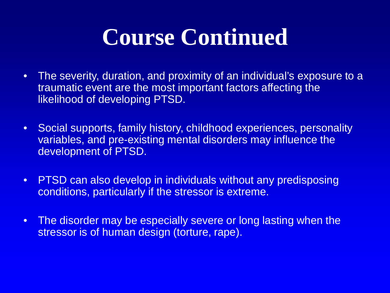## **Course Continued**

- The severity, duration, and proximity of an individual's exposure to a traumatic event are the most important factors affecting the likelihood of developing PTSD.
- Social supports, family history, childhood experiences, personality variables, and pre-existing mental disorders may influence the development of PTSD.
- PTSD can also develop in individuals without any predisposing conditions, particularly if the stressor is extreme.
- The disorder may be especially severe or long lasting when the stressor is of human design (torture, rape).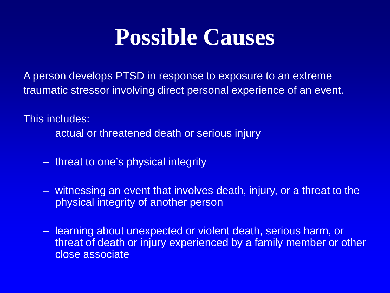#### **Possible Causes**

A person develops PTSD in response to exposure to an extreme traumatic stressor involving direct personal experience of an event.

This includes:

- actual or threatened death or serious injury
- threat to one's physical integrity
- witnessing an event that involves death, injury, or a threat to the physical integrity of another person
- learning about unexpected or violent death, serious harm, or threat of death or injury experienced by a family member or other close associate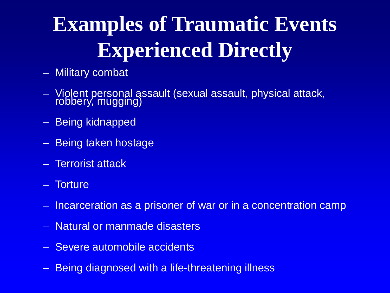## **Examples of Traumatic Events Experienced Directly**

- Military combat
- Violent personal assault (sexual assault, physical attack, robbery, mugging)
- Being kidnapped
- Being taken hostage
- Terrorist attack
- Torture
- Incarceration as a prisoner of war or in a concentration camp
- Natural or manmade disasters
- Severe automobile accidents
- Being diagnosed with a life-threatening illness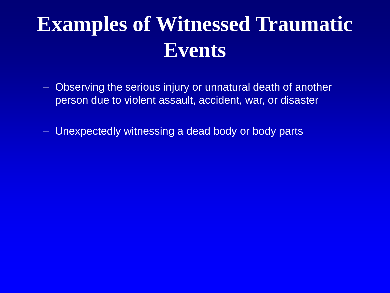### **Examples of Witnessed Traumatic Events**

- Observing the serious injury or unnatural death of another person due to violent assault, accident, war, or disaster
- Unexpectedly witnessing a dead body or body parts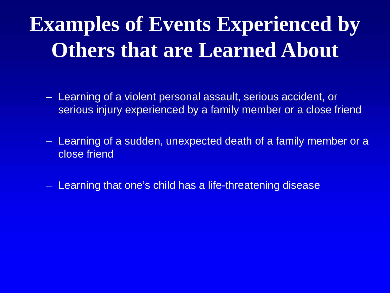## **Examples of Events Experienced by Others that are Learned About**

- Learning of a violent personal assault, serious accident, or serious injury experienced by a family member or a close friend
- Learning of a sudden, unexpected death of a family member or a close friend
- Learning that one's child has a life-threatening disease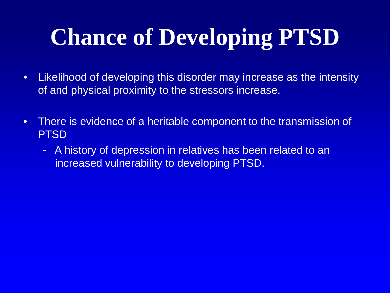# **Chance of Developing PTSD**

- Likelihood of developing this disorder may increase as the intensity of and physical proximity to the stressors increase.
- There is evidence of a heritable component to the transmission of PTSD
	- A history of depression in relatives has been related to an increased vulnerability to developing PTSD.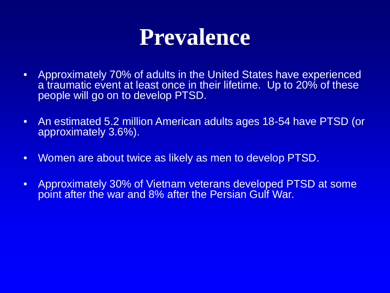#### **Prevalence**

- Approximately 70% of adults in the United States have experienced a traumatic event at least once in their lifetime. Up to 20% of these people will go on to develop PTSD.
- An estimated 5.2 million American adults ages 18-54 have PTSD (or approximately 3.6%).
- Women are about twice as likely as men to develop PTSD.
- Approximately 30% of Vietnam veterans developed PTSD at some point after the war and 8% after the Persian Gulf War.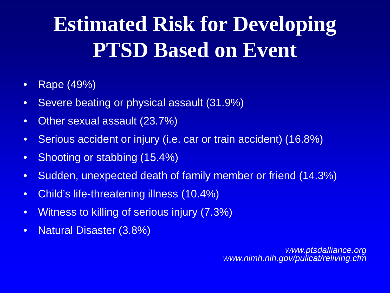## **Estimated Risk for Developing PTSD Based on Event**

- Rape (49%)
- Severe beating or physical assault (31.9%)
- Other sexual assault (23.7%)
- Serious accident or injury (i.e. car or train accident) (16.8%)
- Shooting or stabbing (15.4%)
- Sudden, unexpected death of family member or friend (14.3%)
- Child's life-threatening illness (10.4%)
- Witness to killing of serious injury (7.3%)
- Natural Disaster (3.8%)

*www.ptsdalliance.org www.nimh.nih.gov/pulicat/reliving.cfm*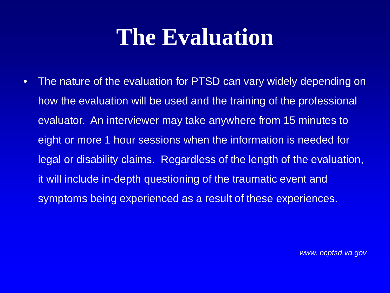### **The Evaluation**

• The nature of the evaluation for PTSD can vary widely depending on how the evaluation will be used and the training of the professional evaluator. An interviewer may take anywhere from 15 minutes to eight or more 1 hour sessions when the information is needed for legal or disability claims. Regardless of the length of the evaluation, it will include in-depth questioning of the traumatic event and symptoms being experienced as a result of these experiences.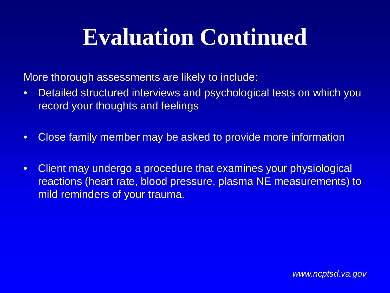## **Evaluation Continued**

More thorough assessments are likely to include:

- Detailed structured interviews and psychological tests on which you record your thoughts and feelings
- Close family member may be asked to provide more information
- Client may undergo a procedure that examines your physiological reactions (heart rate, blood pressure, plasma NE measurements) to mild reminders of your trauma.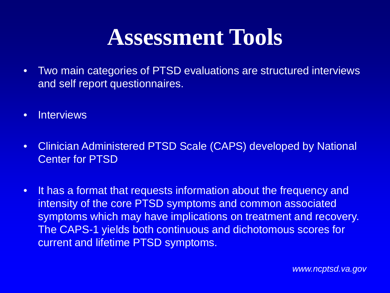#### **Assessment Tools**

- Two main categories of PTSD evaluations are structured interviews and self report questionnaires.
- Interviews
- Clinician Administered PTSD Scale (CAPS) developed by National Center for PTSD
- It has a format that requests information about the frequency and intensity of the core PTSD symptoms and common associated symptoms which may have implications on treatment and recovery. The CAPS-1 yields both continuous and dichotomous scores for current and lifetime PTSD symptoms.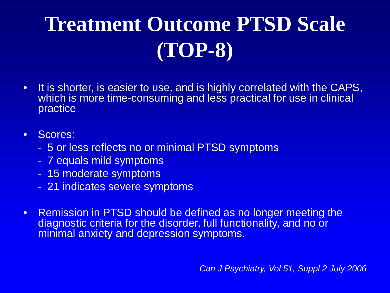# **Treatment Outcome PTSD Scale (TOP-8)**

• It is shorter, is easier to use, and is highly correlated with the CAPS, which is more time-consuming and less practical for use in clinical practice

#### • Scores:

- 5 or less reflects no or minimal PTSD symptoms
- 7 equals mild symptoms
- 15 moderate symptoms
- 21 indicates severe symptoms
- Remission in PTSD should be defined as no longer meeting the diagnostic criteria for the disorder, full functionality, and no or minimal anxiety and depression symptoms.

*Can J Psychiatry, Vol 51, Suppl 2 July 2006*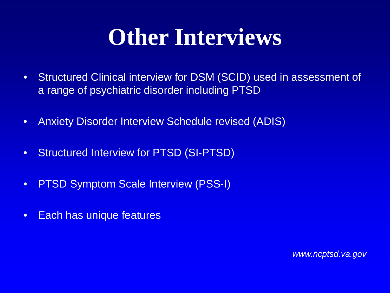## **Other Interviews**

- Structured Clinical interview for DSM (SCID) used in assessment of a range of psychiatric disorder including PTSD
- Anxiety Disorder Interview Schedule revised (ADIS)
- Structured Interview for PTSD (SI-PTSD)
- PTSD Symptom Scale Interview (PSS-I)
- Each has unique features

*www.ncptsd.va.gov*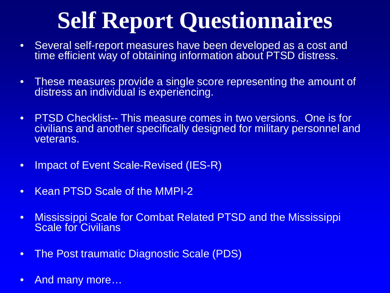# **Self Report Questionnaires**

- Several self-report measures have been developed as a cost and time efficient way of obtaining information about PTSD distress.
- These measures provide a single score representing the amount of distress an individual is experiencing.
- PTSD Checklist-- This measure comes in two versions. One is for civilians and another specifically designed for military personnel and veterans.
- Impact of Event Scale-Revised (IES-R)
- Kean PTSD Scale of the MMPI-2
- Mississippi Scale for Combat Related PTSD and the Mississippi Scale for Civilians
- The Post traumatic Diagnostic Scale (PDS)
- And many more...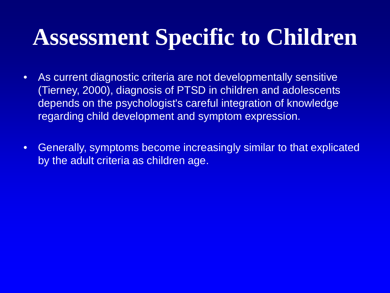## **Assessment Specific to Children**

- As current diagnostic criteria are not developmentally sensitive (Tierney, 2000), diagnosis of PTSD in children and adolescents depends on the psychologist's careful integration of knowledge regarding child development and symptom expression.
- Generally, symptoms become increasingly similar to that explicated by the adult criteria as children age.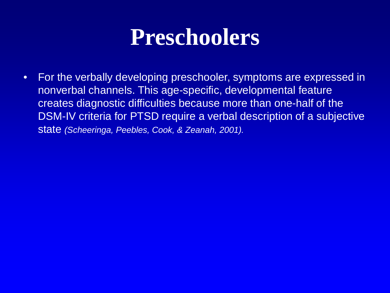#### **Preschoolers**

• For the verbally developing preschooler, symptoms are expressed in nonverbal channels. This age-specific, developmental feature creates diagnostic difficulties because more than one-half of the DSM-IV criteria for PTSD require a verbal description of a subjective state *(Scheeringa, Peebles, Cook, & Zeanah, 2001).*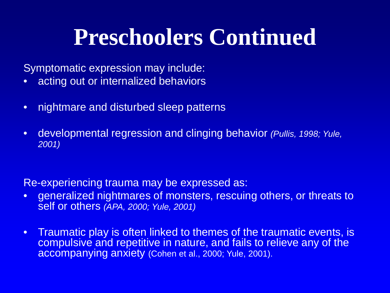### **Preschoolers Continued**

Symptomatic expression may include:

- acting out or internalized behaviors
- nightmare and disturbed sleep patterns
- developmental regression and clinging behavior *(Pullis, 1998; Yule, 2001)*

Re-experiencing trauma may be expressed as:

- generalized nightmares of monsters, rescuing others, or threats to self or others *(APA, 2000; Yule, 2001)*
- Traumatic play is often linked to themes of the traumatic events, is compulsive and repetitive in nature, and fails to relieve any of the accompanying anxiety (Cohen et al., 2000; Yule, 2001).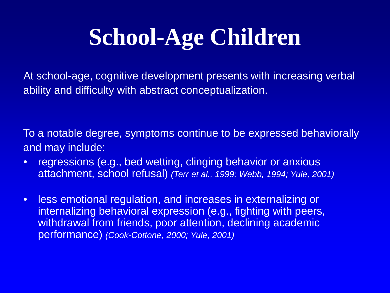# **School-Age Children**

At school-age, cognitive development presents with increasing verbal ability and difficulty with abstract conceptualization.

To a notable degree, symptoms continue to be expressed behaviorally and may include:

- regressions (e.g., bed wetting, clinging behavior or anxious attachment, school refusal) *(Terr et al., 1999; Webb, 1994; Yule, 2001)*
- less emotional regulation, and increases in externalizing or internalizing behavioral expression (e.g., fighting with peers, withdrawal from friends, poor attention, declining academic performance) *(Cook-Cottone, 2000; Yule, 2001)*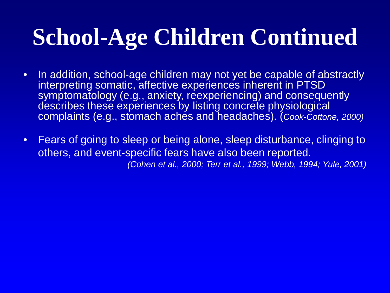# **School-Age Children Continued**

- In addition, school-age children may not yet be capable of abstractly interpreting somatic, affective experiences inherent in PTSD symptomatology (e.g., anxiety, reexperiencing) and consequently describes these experiences by listing concrete physiological complaints (e.g., stomach aches and headaches). (*Cook-Cottone, 2000)*
- Fears of going to sleep or being alone, sleep disturbance, clinging to others, and event-specific fears have also been reported. *(Cohen et al., 2000; Terr et al., 1999; Webb, 1994; Yule, 2001)*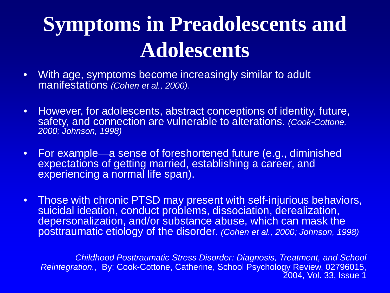## **Symptoms in Preadolescents and Adolescents**

- With age, symptoms become increasingly similar to adult manifestations *(Cohen et al., 2000).*
- However, for adolescents, abstract conceptions of identity, future, safety, and connection are vulnerable to alterations. *(Cook-Cottone, 2000; Johnson, 1998)*
- For example—a sense of foreshortened future (e.g., diminished expectations of getting married, establishing a career, and experiencing a normal life span).
- Those with chronic PTSD may present with self-injurious behaviors, suicidal ideation, conduct problems, dissociation, derealization, depersonalization, and/or substance abuse, which can mask the posttraumatic etiology of the disorder. *(Cohen et al., 2000; Johnson, 1998)*

*Childhood Posttraumatic Stress Disorder: Diagnosis, Treatment, and School Reintegration.*, By: Cook-Cottone, Catherine, School Psychology Review, 02796015, 2004, Vol. 33, Issue 1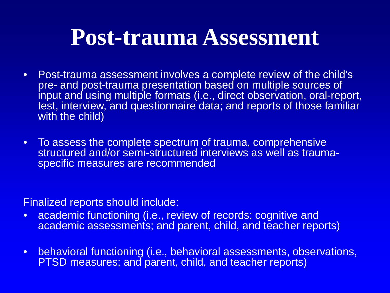#### **Post-trauma Assessment**

- Post-trauma assessment involves a complete review of the child's pre- and post-trauma presentation based on multiple sources of input and using multiple formats (i.e., direct observation, oral-report, test, interview, and questionnaire data; and reports of those familiar with the child)
- To assess the complete spectrum of trauma, comprehensive structured and/or semi-structured interviews as well as trauma-<br>specific measures are recommended

Finalized reports should include:

- academic functioning (i.e., review of records; cognitive and academic assessments; and parent, child, and teacher reports)
- behavioral functioning (i.e., behavioral assessments, observations, PTSD measures; and parent, child, and teacher reports)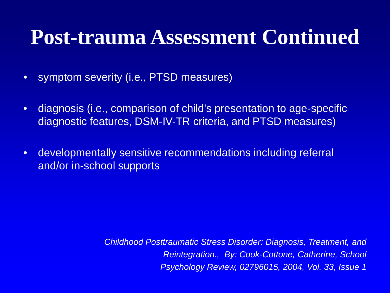#### **Post-trauma Assessment Continued**

- symptom severity (i.e., PTSD measures)
- diagnosis (i.e., comparison of child's presentation to age-specific diagnostic features, DSM-IV-TR criteria, and PTSD measures)
- developmentally sensitive recommendations including referral and/or in-school supports

*Childhood Posttraumatic Stress Disorder: Diagnosis, Treatment, and Reintegration., By: Cook-Cottone, Catherine, School Psychology Review, 02796015, 2004, Vol. 33, Issue 1*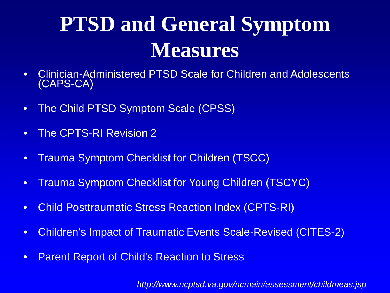## **PTSD and General Symptom Measures**

- Clinician-Administered PTSD Scale for Children and Adolescents (CAPS-CA)
- The Child PTSD Symptom Scale (CPSS)
- The CPTS-RI Revision 2
- Trauma Symptom Checklist for Children (TSCC)
- Trauma Symptom Checklist for Young Children (TSCYC)
- Child Posttraumatic Stress Reaction Index (CPTS-RI)
- Children's Impact of Traumatic Events Scale-Revised (CITES-2)
- Parent Report of Child's Reaction to Stress

*http://www.ncptsd.va.gov/ncmain/assessment/childmeas.jsp*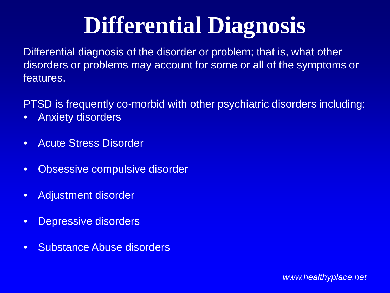# **Differential Diagnosis**

Differential diagnosis of the disorder or problem; that is, what other disorders or problems may account for some or all of the symptoms or features.

PTSD is frequently co-morbid with other psychiatric disorders including:

- Anxiety disorders
- Acute Stress Disorder
- Obsessive compulsive disorder
- Adjustment disorder
- Depressive disorders
- Substance Abuse disorders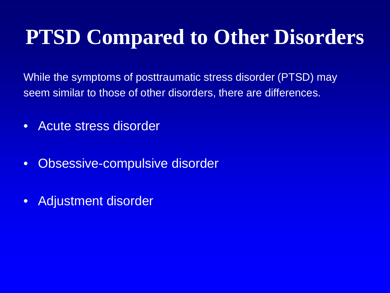#### **PTSD Compared to Other Disorders**

While the symptoms of posttraumatic stress disorder (PTSD) may seem similar to those of other disorders, there are differences.

- Acute stress disorder
- Obsessive-compulsive disorder
- Adjustment disorder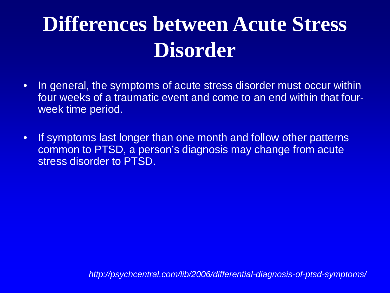### **Differences between Acute Stress Disorder**

- In general, the symptoms of acute stress disorder must occur within four weeks of a traumatic event and come to an end within that fourweek time period.
- If symptoms last longer than one month and follow other patterns common to PTSD, a person's diagnosis may change from acute stress disorder to PTSD.

*http://psychcentral.com/lib/2006/differential-diagnosis-of-ptsd-symptoms/*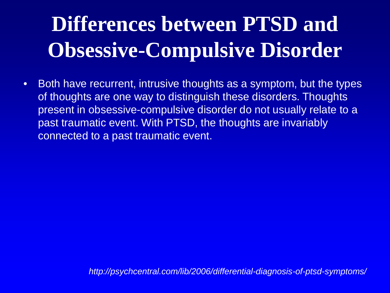## **Differences between PTSD and Obsessive-Compulsive Disorder**

• Both have recurrent, intrusive thoughts as a symptom, but the types of thoughts are one way to distinguish these disorders. Thoughts present in obsessive-compulsive disorder do not usually relate to a past traumatic event. With PTSD, the thoughts are invariably connected to a past traumatic event.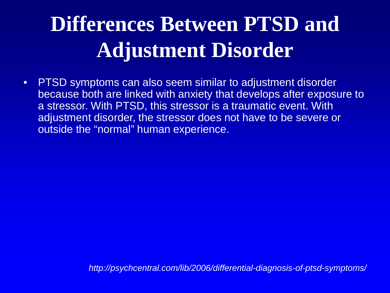### **Differences Between PTSD and Adjustment Disorder**

• PTSD symptoms can also seem similar to adjustment disorder because both are linked with anxiety that develops after exposure to a stressor. With PTSD, this stressor is a traumatic event. With adjustment disorder, the stressor does not have to be severe or outside the "normal" human experience.

*http://psychcentral.com/lib/2006/differential-diagnosis-of-ptsd-symptoms/*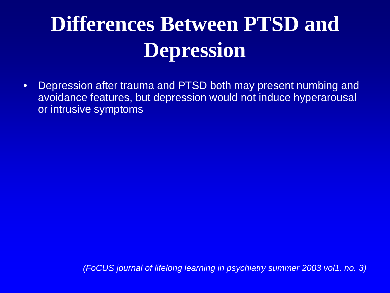## **Differences Between PTSD and Depression**

• Depression after trauma and PTSD both may present numbing and avoidance features, but depression would not induce hyperarousal or intrusive symptoms

*(FoCUS journal of lifelong learning in psychiatry summer 2003 vol1. no. 3)*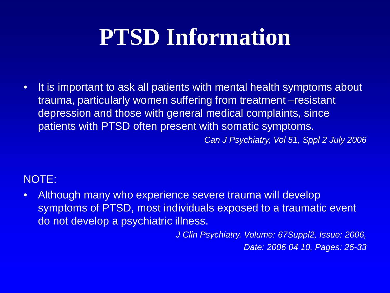# **PTSD Information**

• It is important to ask all patients with mental health symptoms about trauma, particularly women suffering from treatment –resistant depression and those with general medical complaints, since patients with PTSD often present with somatic symptoms.

*Can J Psychiatry, Vol 51, Sppl 2 July 2006*

#### NOTE:

• Although many who experience severe trauma will develop symptoms of PTSD, most individuals exposed to a traumatic event do not develop a psychiatric illness.

> *J Clin Psychiatry. Volume: 67Suppl2, Issue: 2006, Date: 2006 04 10, Pages: 26-33*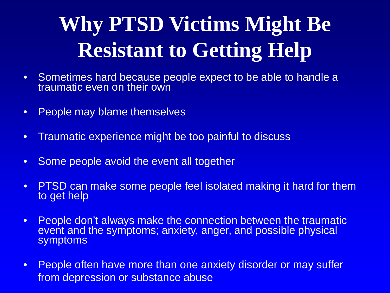# **Why PTSD Victims Might Be Resistant to Getting Help**

- Sometimes hard because people expect to be able to handle a traumatic even on their own
- People may blame themselves
- Traumatic experience might be too painful to discuss
- Some people avoid the event all together
- PTSD can make some people feel isolated making it hard for them to get help
- People don't always make the connection between the traumatic event and the symptoms; anxiety, anger, and possible physical symptoms
- People often have more than one anxiety disorder or may suffer from depression or substance abuse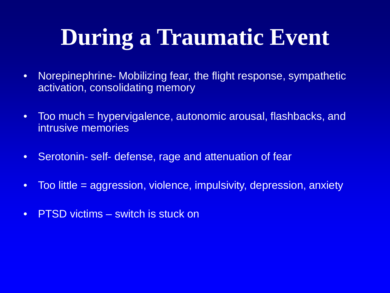# **During a Traumatic Event**

- Norepinephrine- Mobilizing fear, the flight response, sympathetic activation, consolidating memory
- Too much = hypervigalence, autonomic arousal, flashbacks, and intrusive memories
- Serotonin- self- defense, rage and attenuation of fear
- Too little = aggression, violence, impulsivity, depression, anxiety
- PTSD victims switch is stuck on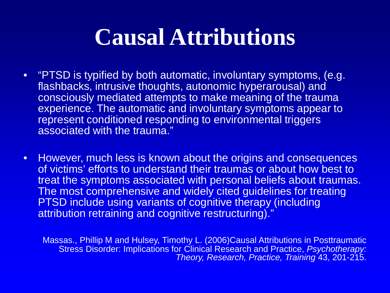### **Causal Attributions**

- "PTSD is typified by both automatic, involuntary symptoms, (e.g. flashbacks, intrusive thoughts, autonomic hyperarousal) and consciously mediated attempts to make meaning of the trauma experience. The automatic and involuntary symptoms appear to represent conditioned responding to environmental triggers associated with the trauma."
- However, much less is known about the origins and consequences of victims' efforts to understand their traumas or about how best to treat the symptoms associated with personal beliefs about traumas. The most comprehensive and widely cited guidelines for treating PTSD include using variants of cognitive therapy (including attribution retraining and cognitive restructuring)."

Massas., Phillip M and Hulsey, Timothy L. (2006)Causal Attributions in Posttraumatic Stress Disorder: Implications for Clinical Research and Practice, *Psychotherapy: Theory, Research, Practice, Training* 43, 201-215.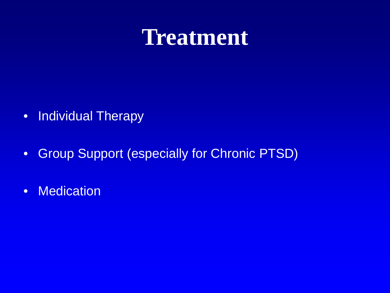#### **Treatment**

- Individual Therapy
- Group Support (especially for Chronic PTSD)
- Medication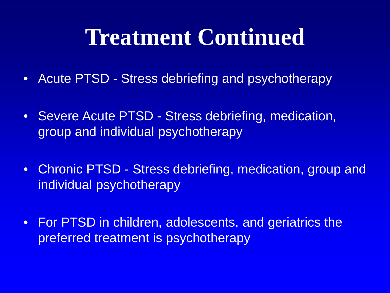#### **Treatment Continued**

- Acute PTSD Stress debriefing and psychotherapy
- Severe Acute PTSD Stress debriefing, medication, group and individual psychotherapy
- Chronic PTSD Stress debriefing, medication, group and individual psychotherapy
- For PTSD in children, adolescents, and geriatrics the preferred treatment is psychotherapy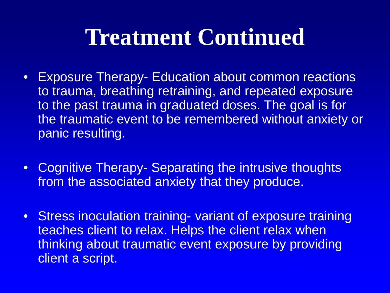### **Treatment Continued**

- Exposure Therapy- Education about common reactions to trauma, breathing retraining, and repeated exposure to the past trauma in graduated doses. The goal is for the traumatic event to be remembered without anxiety or panic resulting.
- Cognitive Therapy- Separating the intrusive thoughts from the associated anxiety that they produce.
- Stress inoculation training- variant of exposure training teaches client to relax. Helps the client relax when thinking about traumatic event exposure by providing client a script.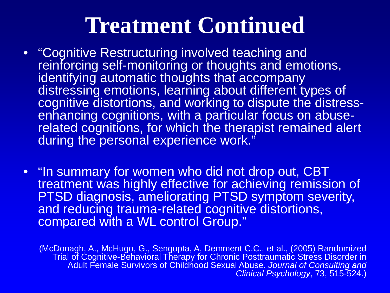#### **Treatment Continued**

- "Cognitive Restructuring involved teaching and reinforcing self-monitoring or thoughts and emotions, identifying automatic thoughts that accompany distressing emotions, learning about different types of cognitive distortions, and working to dispute the distresscognitive distortions, and working to dispute the distress-<br>enhancing cognitions, with a particular focus on abuse-<br>related cognitions, for which the therapist remained alert during the personal experience work."
- "In summary for women who did not drop out, CBT treatment was highly effective for achieving remission of PTSD diagnosis, ameliorating PTSD symptom severity, and reducing trauma-related cognitive distortions, compared with a WL control Group."

(McDonagh, A., McHugo, G., Sengupta, A, Demment C.C., et al., (2005) Randomized Trial of Cognitive-Behavioral Therapy for Chronic Posttraumatic Stress Disorder in Adult Female Survivors of Childhood Sexual Abuse. *Journal of Consulting and Clinical Psychology*, 73, 515-524.)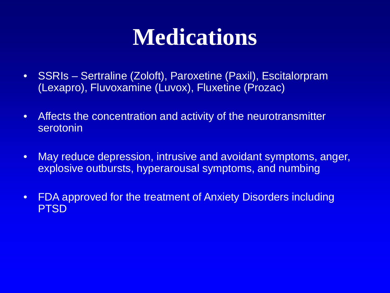### **Medications**

- SSRIs Sertraline (Zoloft), Paroxetine (Paxil), Escitalorpram (Lexapro), Fluvoxamine (Luvox), Fluxetine (Prozac)
- Affects the concentration and activity of the neurotransmitter serotonin
- May reduce depression, intrusive and avoidant symptoms, anger, explosive outbursts, hyperarousal symptoms, and numbing
- FDA approved for the treatment of Anxiety Disorders including PTSD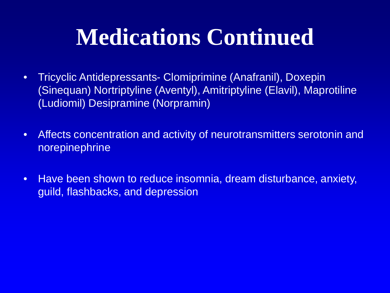## **Medications Continued**

- Tricyclic Antidepressants- Clomiprimine (Anafranil), Doxepin (Sinequan) Nortriptyline (Aventyl), Amitriptyline (Elavil), Maprotiline (Ludiomil) Desipramine (Norpramin)
- Affects concentration and activity of neurotransmitters serotonin and norepinephrine
- Have been shown to reduce insomnia, dream disturbance, anxiety, guild, flashbacks, and depression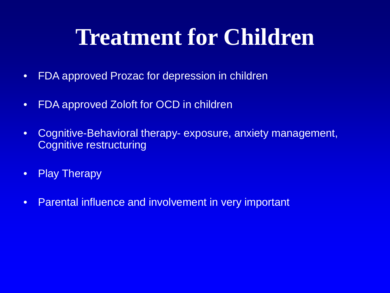## **Treatment for Children**

- FDA approved Prozac for depression in children
- FDA approved Zoloft for OCD in children
- Cognitive-Behavioral therapy- exposure, anxiety management, Cognitive restructuring
- Play Therapy
- Parental influence and involvement in very important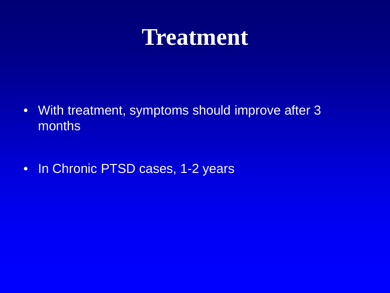#### **Treatment**

- With treatment, symptoms should improve after 3 months
- In Chronic PTSD cases, 1-2 years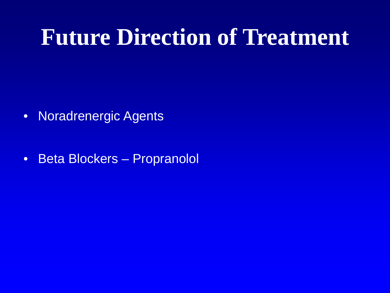#### **Future Direction of Treatment**

- Noradrenergic Agents
- Beta Blockers Propranolol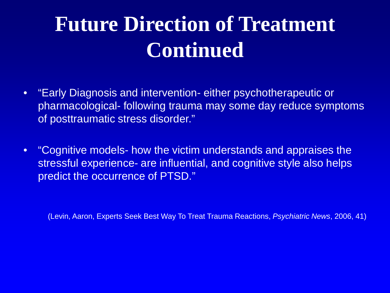### **Future Direction of Treatment Continued**

- "Early Diagnosis and intervention- either psychotherapeutic or pharmacological- following trauma may some day reduce symptoms of posttraumatic stress disorder."
- "Cognitive models- how the victim understands and appraises the stressful experience- are influential, and cognitive style also helps predict the occurrence of PTSD."

(Levin, Aaron, Experts Seek Best Way To Treat Trauma Reactions, *Psychiatric News*, 2006, 41)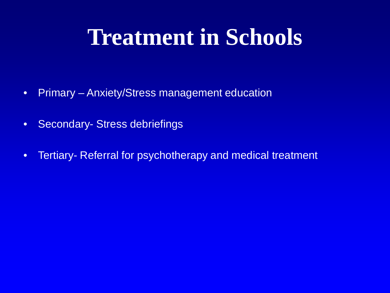## **Treatment in Schools**

- Primary Anxiety/Stress management education
- Secondary- Stress debriefings
- Tertiary- Referral for psychotherapy and medical treatment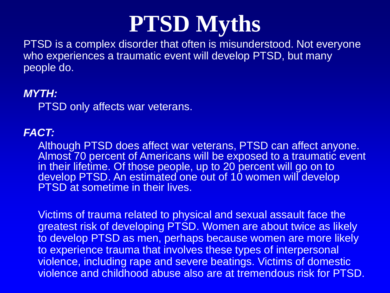#### **PTSD Myths**

PTSD is a complex disorder that often is misunderstood. Not everyone who experiences a traumatic event will develop PTSD, but many people do.

#### *MYTH:*

PTSD only affects war veterans.

#### *FACT:*

Although PTSD does affect war veterans, PTSD can affect anyone. Almost 70 percent of Americans will be exposed to a traumatic event in their lifetime. Of those people, up to 20 percent will go on to develop PTSD. An estimated one out of 10 women will develop PTSD at sometime in their lives.

Victims of trauma related to physical and sexual assault face the greatest risk of developing PTSD. Women are about twice as likely to develop PTSD as men, perhaps because women are more likely to experience trauma that involves these types of interpersonal violence, including rape and severe beatings. Victims of domestic violence and childhood abuse also are at tremendous risk for PTSD.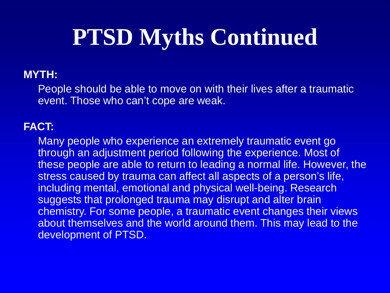## **PTSD Myths Continued**

#### **MYTH:**

People should be able to move on with their lives after a traumatic event. Those who can't cope are weak.

#### **FACT:**

Many people who experience an extremely traumatic event go through an adjustment period following the experience. Most of these people are able to return to leading a normal life. However, the stress caused by trauma can affect all aspects of a person's life, including mental, emotional and physical well-being. Research suggests that prolonged trauma may disrupt and alter brain chemistry. For some people, a traumatic event changes their views about themselves and the world around them. This may lead to the development of PTSD.